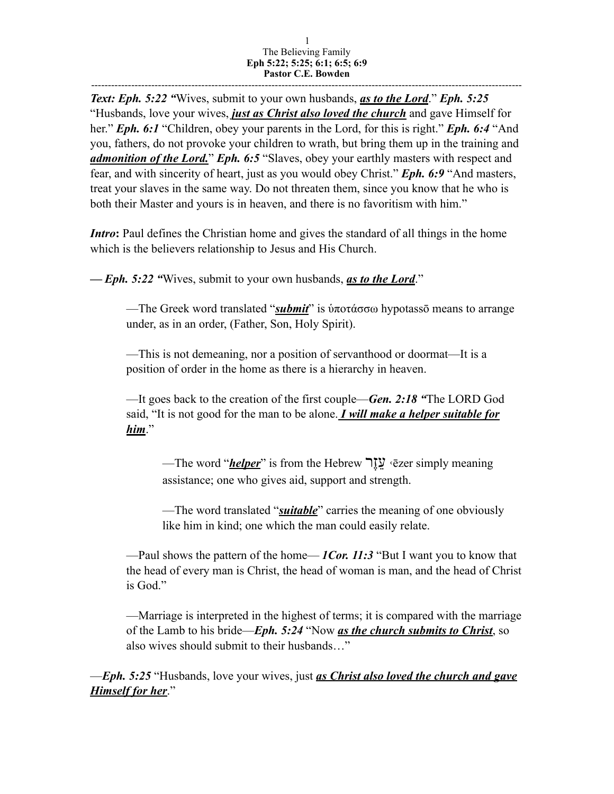## 1 The Believing Family **Eph 5:22; 5:25; 6:1; 6:5; 6:9 Pastor C.E. Bowden**

--------------------------------------------------------------------------------------------------------------------------------- *Text: Eph. 5:22 "*Wives, submit to your own husbands, *as to the Lord*." *Eph. 5:25* "Husbands, love your wives, *just as Christ also loved the church* and gave Himself for her." *Eph. 6:1* "Children, obey your parents in the Lord, for this is right." *Eph. 6:4* "And you, fathers, do not provoke your children to wrath, but bring them up in the training and *admonition of the Lord.*" *Eph. 6:5* "Slaves, obey your earthly masters with respect and fear, and with sincerity of heart, just as you would obey Christ." *Eph. 6:9* "And masters, treat your slaves in the same way. Do not threaten them, since you know that he who is both their Master and yours is in heaven, and there is no favoritism with him."

*Intro*: Paul defines the Christian home and gives the standard of all things in the home which is the believers relationship to Jesus and His Church.

**—** *Eph. 5:22 "*Wives, submit to your own husbands, *as to the Lord*."

—The Greek word translated "*submit*" is ὑποτάσσω hypotassō means to arrange under, as in an order, (Father, Son, Holy Spirit).

—This is not demeaning, nor a position of servanthood or doormat—It is a position of order in the home as there is a hierarchy in heaven.

—It goes back to the creation of the first couple—*Gen. 2:18 "*The LORD God said, "It is not good for the man to be alone. *I will make a helper suitable for him*."

—The word "*helper*" is from the Hebrew  $\exists \mathbf{y}$  ⋅ēzer simply meaning assistance; one who gives aid, support and strength.

—The word translated "*suitable*" carries the meaning of one obviously like him in kind; one which the man could easily relate.

—Paul shows the pattern of the home— *1Cor. 11:3* "But I want you to know that the head of every man is Christ, the head of woman is man, and the head of Christ is God."

—Marriage is interpreted in the highest of terms; it is compared with the marriage of the Lamb to his bride—*Eph. 5:24* "Now *as the church submits to Christ*, so also wives should submit to their husbands…"

—*Eph. 5:25* "Husbands, love your wives, just *as Christ also loved the church and gave Himself for her*."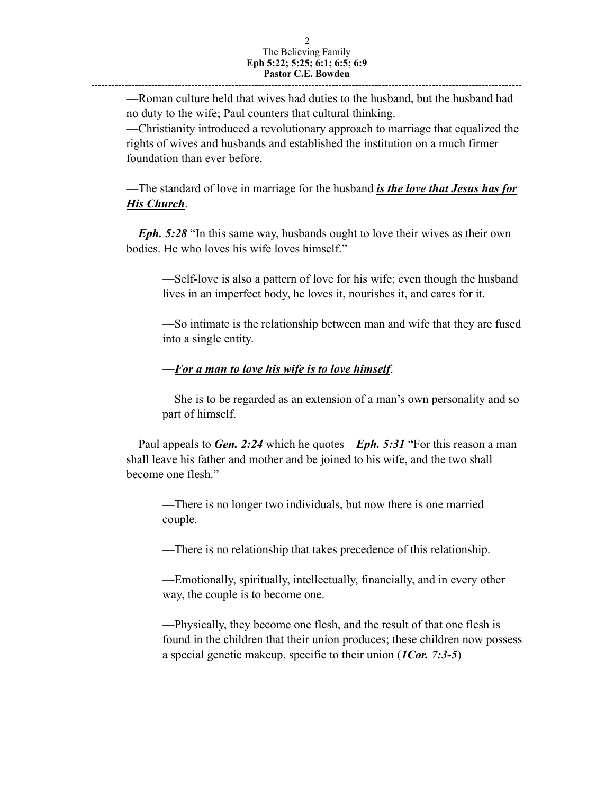—Roman culture held that wives had duties to the husband, but the husband had no duty to the wife; Paul counters that cultural thinking.

—Christianity introduced a revolutionary approach to marriage that equalized the rights of wives and husbands and established the institution on a much firmer foundation than ever before.

—The standard of love in marriage for the husband *is the love that Jesus has for His Church*.

—*Eph. 5:28* "In this same way, husbands ought to love their wives as their own bodies. He who loves his wife loves himself."

—Self-love is also a pattern of love for his wife; even though the husband lives in an imperfect body, he loves it, nourishes it, and cares for it.

—So intimate is the relationship between man and wife that they are fused into a single entity.

## —*For a man to love his wife is to love himself*.

—She is to be regarded as an extension of a man's own personality and so part of himself.

—Paul appeals to *Gen. 2:24* which he quotes—*Eph. 5:31* "For this reason a man shall leave his father and mother and be joined to his wife, and the two shall become one flesh"

—There is no longer two individuals, but now there is one married couple.

—There is no relationship that takes precedence of this relationship.

—Emotionally, spiritually, intellectually, financially, and in every other way, the couple is to become one.

—Physically, they become one flesh, and the result of that one flesh is found in the children that their union produces; these children now possess a special genetic makeup, specific to their union (*1Cor. 7:3-5*)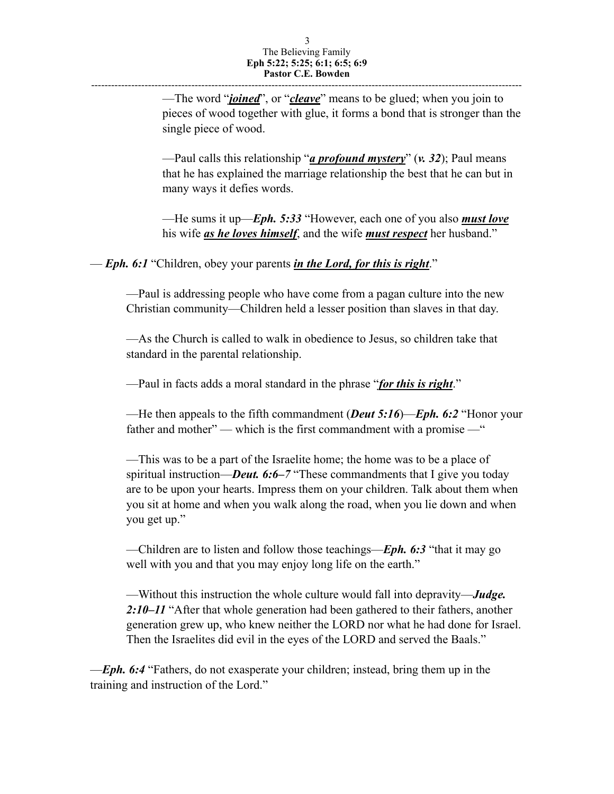—The word "*joined*", or "*cleave*" means to be glued; when you join to pieces of wood together with glue, it forms a bond that is stronger than the single piece of wood.

—Paul calls this relationship "*a profound mystery*" (*v. 32*); Paul means that he has explained the marriage relationship the best that he can but in many ways it defies words.

—He sums it up—*Eph. 5:33* "However, each one of you also *must love*  his wife *as he loves himself*, and the wife *must respect* her husband."

— *Eph. 6:1* "Children, obey your parents *in the Lord, for this is right*."

—Paul is addressing people who have come from a pagan culture into the new Christian community—Children held a lesser position than slaves in that day.

—As the Church is called to walk in obedience to Jesus, so children take that standard in the parental relationship.

—Paul in facts adds a moral standard in the phrase "*for this is right*."

—He then appeals to the fifth commandment (*Deut 5:16*)—*Eph. 6:2* "Honor your father and mother" — which is the first commandment with a promise — "

—This was to be a part of the Israelite home; the home was to be a place of spiritual instruction—*Deut. 6:6–7* "These commandments that I give you today are to be upon your hearts. Impress them on your children. Talk about them when you sit at home and when you walk along the road, when you lie down and when you get up."

—Children are to listen and follow those teachings—*Eph. 6:3* "that it may go well with you and that you may enjoy long life on the earth."

—Without this instruction the whole culture would fall into depravity—*Judge. 2:10–11* "After that whole generation had been gathered to their fathers, another generation grew up, who knew neither the LORD nor what he had done for Israel. Then the Israelites did evil in the eyes of the LORD and served the Baals."

—*Eph. 6:4* "Fathers, do not exasperate your children; instead, bring them up in the training and instruction of the Lord."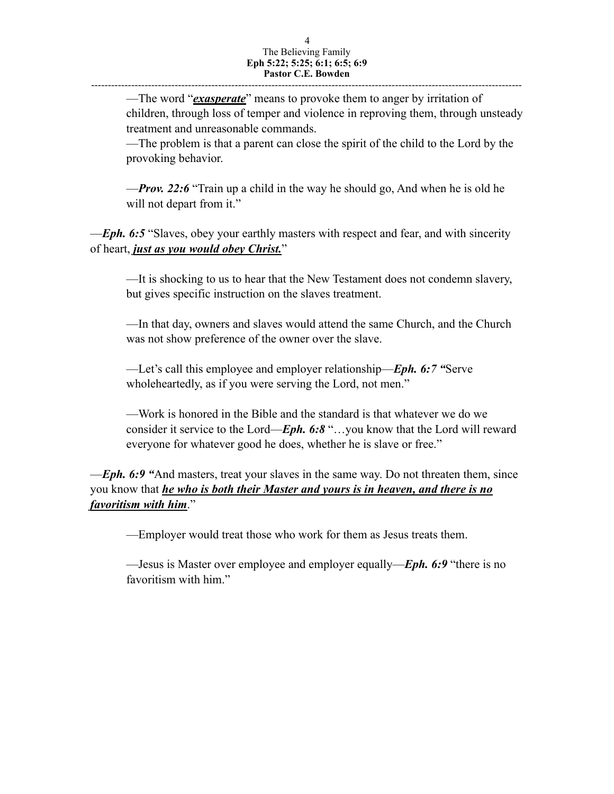—The word "*exasperate*" means to provoke them to anger by irritation of children, through loss of temper and violence in reproving them, through unsteady treatment and unreasonable commands.

—The problem is that a parent can close the spirit of the child to the Lord by the provoking behavior.

—*Prov. 22:6* "Train up a child in the way he should go, And when he is old he will not depart from it."

—*Eph. 6:5* "Slaves, obey your earthly masters with respect and fear, and with sincerity of heart, *just as you would obey Christ.*"

—It is shocking to us to hear that the New Testament does not condemn slavery, but gives specific instruction on the slaves treatment.

—In that day, owners and slaves would attend the same Church, and the Church was not show preference of the owner over the slave.

—Let's call this employee and employer relationship—*Eph. 6:7 "*Serve wholeheartedly, as if you were serving the Lord, not men."

—Work is honored in the Bible and the standard is that whatever we do we consider it service to the Lord—*Eph. 6:8* "…you know that the Lord will reward everyone for whatever good he does, whether he is slave or free."

—*Eph. 6:9 "*And masters, treat your slaves in the same way. Do not threaten them, since you know that *he who is both their Master and yours is in heaven, and there is no favoritism with him*."

—Employer would treat those who work for them as Jesus treats them.

—Jesus is Master over employee and employer equally—*Eph. 6:9* "there is no favoritism with him."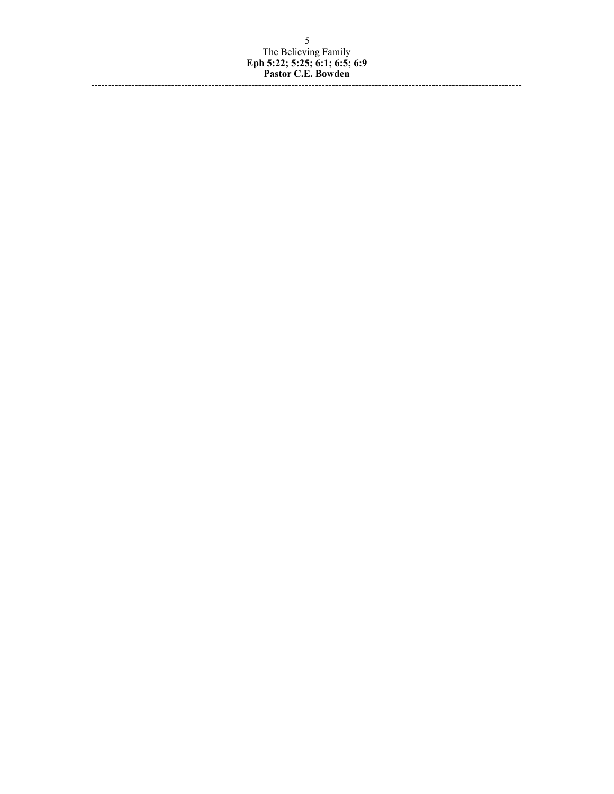5<br>The Believing Family<br>Eph 5:22; 5:25; 6:1; 6:5; 6:9 Pastor C.E. Bowden

------------------------------------

. . . . . . . . . . . . . . . . . . . .